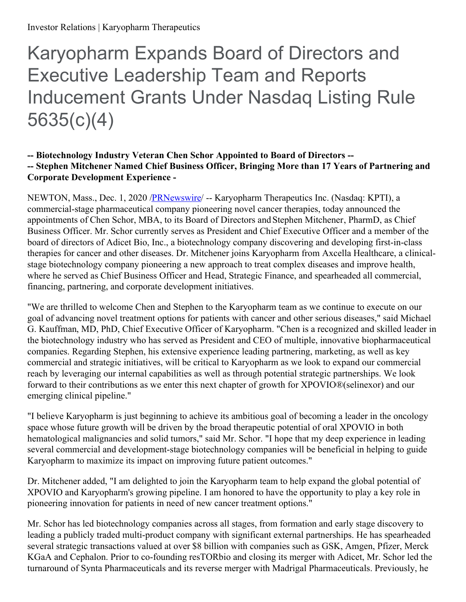# Karyopharm Expands Board of Directors and Executive Leadership Team and Reports Inducement Grants Under Nasdaq Listing Rule 5635(c)(4)

#### **-- Biotechnology Industry Veteran Chen Schor Appointed to Board of Directors -- -- Stephen Mitchener Named Chief Business Officer, Bringing More than 17 Years of Partnering and Corporate Development Experience -**

NEWTON, Mass., Dec. 1, 2020 [/PRNewswire](http://www.prnewswire.com/)/ -- Karyopharm Therapeutics Inc. (Nasdaq: KPTI), a commercial-stage pharmaceutical company pioneering novel cancer therapies, today announced the appointments of Chen Schor, MBA, to its Board of Directors and Stephen Mitchener, PharmD, as Chief Business Officer. Mr. Schor currently serves as President and Chief Executive Officer and a member of the board of directors of Adicet Bio, Inc., a biotechnology company discovering and developing first-in-class therapies for cancer and other diseases. Dr. Mitchener joins Karyopharm from Axcella Healthcare, a clinicalstage biotechnology company pioneering a new approach to treat complex diseases and improve health, where he served as Chief Business Officer and Head, Strategic Finance, and spearheaded all commercial, financing, partnering, and corporate development initiatives.

"We are thrilled to welcome Chen and Stephen to the Karyopharm team as we continue to execute on our goal of advancing novel treatment options for patients with cancer and other serious diseases," said Michael G. Kauffman, MD, PhD, Chief Executive Officer of Karyopharm. "Chen is a recognized and skilled leader in the biotechnology industry who has served as President and CEO of multiple, innovative biopharmaceutical companies. Regarding Stephen, his extensive experience leading partnering, marketing, as well as key commercial and strategic initiatives, will be critical to Karyopharm as we look to expand our commercial reach by leveraging our internal capabilities as well as through potential strategic partnerships. We look forward to their contributions as we enter this next chapter of growth for XPOVIO®(selinexor) and our emerging clinical pipeline."

"I believe Karyopharm is just beginning to achieve its ambitious goal of becoming a leader in the oncology space whose future growth will be driven by the broad therapeutic potential of oral XPOVIO in both hematological malignancies and solid tumors," said Mr. Schor. "I hope that my deep experience in leading several commercial and development-stage biotechnology companies will be beneficial in helping to guide Karyopharm to maximize its impact on improving future patient outcomes."

Dr. Mitchener added, "I am delighted to join the Karyopharm team to help expand the global potential of XPOVIO and Karyopharm's growing pipeline. I am honored to have the opportunity to play a key role in pioneering innovation for patients in need of new cancer treatment options."

Mr. Schor has led biotechnology companies across all stages, from formation and early stage discovery to leading a publicly traded multi-product company with significant external partnerships. He has spearheaded several strategic transactions valued at over \$8 billion with companies such as GSK, Amgen, Pfizer, Merck KGaA and Cephalon. Prior to co-founding resTORbio and closing its merger with Adicet, Mr. Schor led the turnaround of Synta Pharmaceuticals and its reverse merger with Madrigal Pharmaceuticals. Previously, he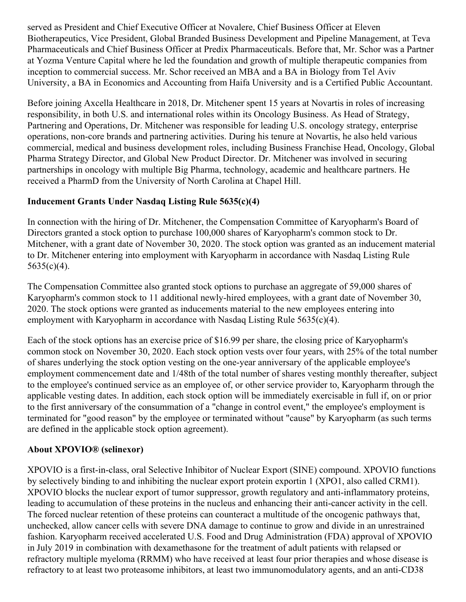served as President and Chief Executive Officer at Novalere, Chief Business Officer at Eleven Biotherapeutics, Vice President, Global Branded Business Development and Pipeline Management, at Teva Pharmaceuticals and Chief Business Officer at Predix Pharmaceuticals. Before that, Mr. Schor was a Partner at Yozma Venture Capital where he led the foundation and growth of multiple therapeutic companies from inception to commercial success. Mr. Schor received an MBA and a BA in Biology from Tel Aviv University, a BA in Economics and Accounting from Haifa University and is a Certified Public Accountant.

Before joining Axcella Healthcare in 2018, Dr. Mitchener spent 15 years at Novartis in roles of increasing responsibility, in both U.S. and international roles within its Oncology Business. As Head of Strategy, Partnering and Operations, Dr. Mitchener was responsible for leading U.S. oncology strategy, enterprise operations, non-core brands and partnering activities. During his tenure at Novartis, he also held various commercial, medical and business development roles, including Business Franchise Head, Oncology, Global Pharma Strategy Director, and Global New Product Director. Dr. Mitchener was involved in securing partnerships in oncology with multiple Big Pharma, technology, academic and healthcare partners. He received a PharmD from the University of North Carolina at Chapel Hill.

## **Inducement Grants Under Nasdaq Listing Rule 5635(c)(4)**

In connection with the hiring of Dr. Mitchener, the Compensation Committee of Karyopharm's Board of Directors granted a stock option to purchase 100,000 shares of Karyopharm's common stock to Dr. Mitchener, with a grant date of November 30, 2020. The stock option was granted as an inducement material to Dr. Mitchener entering into employment with Karyopharm in accordance with Nasdaq Listing Rule  $5635(c)(4)$ .

The Compensation Committee also granted stock options to purchase an aggregate of 59,000 shares of Karyopharm's common stock to 11 additional newly-hired employees, with a grant date of November 30, 2020. The stock options were granted as inducements material to the new employees entering into employment with Karyopharm in accordance with Nasdaq Listing Rule 5635(c)(4).

Each of the stock options has an exercise price of \$16.99 per share, the closing price of Karyopharm's common stock on November 30, 2020. Each stock option vests over four years, with 25% of the total number of shares underlying the stock option vesting on the one-year anniversary of the applicable employee's employment commencement date and 1/48th of the total number of shares vesting monthly thereafter, subject to the employee's continued service as an employee of, or other service provider to, Karyopharm through the applicable vesting dates. In addition, each stock option will be immediately exercisable in full if, on or prior to the first anniversary of the consummation of a "change in control event," the employee's employment is terminated for "good reason" by the employee or terminated without "cause" by Karyopharm (as such terms are defined in the applicable stock option agreement).

## **About XPOVIO® (selinexor)**

XPOVIO is a first-in-class, oral Selective Inhibitor of Nuclear Export (SINE) compound. XPOVIO functions by selectively binding to and inhibiting the nuclear export protein exportin 1 (XPO1, also called CRM1). XPOVIO blocks the nuclear export of tumor suppressor, growth regulatory and anti-inflammatory proteins, leading to accumulation of these proteins in the nucleus and enhancing their anti-cancer activity in the cell. The forced nuclear retention of these proteins can counteract a multitude of the oncogenic pathways that, unchecked, allow cancer cells with severe DNA damage to continue to grow and divide in an unrestrained fashion. Karyopharm received accelerated U.S. Food and Drug Administration (FDA) approval of XPOVIO in July 2019 in combination with dexamethasone for the treatment of adult patients with relapsed or refractory multiple myeloma (RRMM) who have received at least four prior therapies and whose disease is refractory to at least two proteasome inhibitors, at least two immunomodulatory agents, and an anti-CD38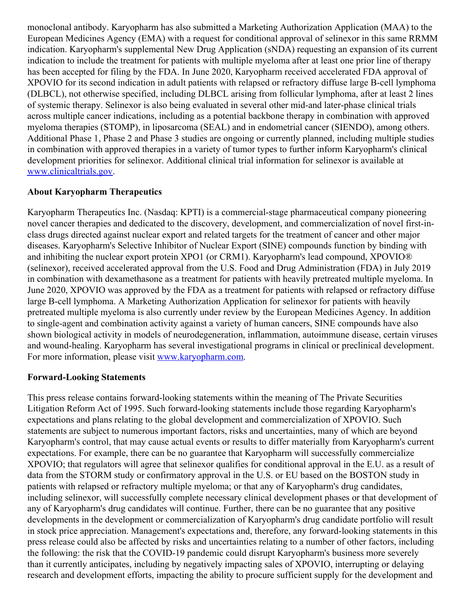monoclonal antibody. Karyopharm has also submitted a Marketing Authorization Application (MAA) to the European Medicines Agency (EMA) with a request for conditional approval of selinexor in this same RRMM indication. Karyopharm's supplemental New Drug Application (sNDA) requesting an expansion of its current indication to include the treatment for patients with multiple myeloma after at least one prior line of therapy has been accepted for filing by the FDA. In June 2020, Karyopharm received accelerated FDA approval of XPOVIO for its second indication in adult patients with relapsed or refractory diffuse large B-cell lymphoma (DLBCL), not otherwise specified, including DLBCL arising from follicular lymphoma, after at least 2 lines of systemic therapy. Selinexor is also being evaluated in several other mid-and later-phase clinical trials across multiple cancer indications, including as a potential backbone therapy in combination with approved myeloma therapies (STOMP), in liposarcoma (SEAL) and in endometrial cancer (SIENDO), among others. Additional Phase 1, Phase 2 and Phase 3 studies are ongoing or currently planned, including multiple studies in combination with approved therapies in a variety of tumor types to further inform Karyopharm's clinical development priorities for selinexor. Additional clinical trial information for selinexor is available at [www.clinicaltrials.gov](https://c212.net/c/link/?t=0&l=en&o=2996680-1&h=2118369832&u=http%3A%2F%2Fwww.clinicaltrials.gov%2F&a=www.clinicaltrials.gov).

## **About Karyopharm Therapeutics**

Karyopharm Therapeutics Inc. (Nasdaq: KPTI) is a commercial-stage pharmaceutical company pioneering novel cancer therapies and dedicated to the discovery, development, and commercialization of novel first-inclass drugs directed against nuclear export and related targets for the treatment of cancer and other major diseases. Karyopharm's Selective Inhibitor of Nuclear Export (SINE) compounds function by binding with and inhibiting the nuclear export protein XPO1 (or CRM1). Karyopharm's lead compound, XPOVIO® (selinexor), received accelerated approval from the U.S. Food and Drug Administration (FDA) in July 2019 in combination with dexamethasone as a treatment for patients with heavily pretreated multiple myeloma. In June 2020, XPOVIO was approved by the FDA as a treatment for patients with relapsed or refractory diffuse large B-cell lymphoma. A Marketing Authorization Application for selinexor for patients with heavily pretreated multiple myeloma is also currently under review by the European Medicines Agency. In addition to single-agent and combination activity against a variety of human cancers, SINE compounds have also shown biological activity in models of neurodegeneration, inflammation, autoimmune disease, certain viruses and wound-healing. Karyopharm has several investigational programs in clinical or preclinical development. For more information, please visit [www.karyopharm.com](https://c212.net/c/link/?t=0&l=en&o=2996680-1&h=1519686170&u=http%3A%2F%2Fwww.karyopharm.com%2F&a=www.karyopharm.com).

## **Forward-Looking Statements**

This press release contains forward-looking statements within the meaning of The Private Securities Litigation Reform Act of 1995. Such forward-looking statements include those regarding Karyopharm's expectations and plans relating to the global development and commercialization of XPOVIO. Such statements are subject to numerous important factors, risks and uncertainties, many of which are beyond Karyopharm's control, that may cause actual events or results to differ materially from Karyopharm's current expectations. For example, there can be no guarantee that Karyopharm will successfully commercialize XPOVIO; that regulators will agree that selinexor qualifies for conditional approval in the E.U. as a result of data from the STORM study or confirmatory approval in the U.S. or EU based on the BOSTON study in patients with relapsed or refractory multiple myeloma; or that any of Karyopharm's drug candidates, including selinexor, will successfully complete necessary clinical development phases or that development of any of Karyopharm's drug candidates will continue. Further, there can be no guarantee that any positive developments in the development or commercialization of Karyopharm's drug candidate portfolio will result in stock price appreciation. Management's expectations and, therefore, any forward-looking statements in this press release could also be affected by risks and uncertainties relating to a number of other factors, including the following: the risk that the COVID-19 pandemic could disrupt Karyopharm's business more severely than it currently anticipates, including by negatively impacting sales of XPOVIO, interrupting or delaying research and development efforts, impacting the ability to procure sufficient supply for the development and